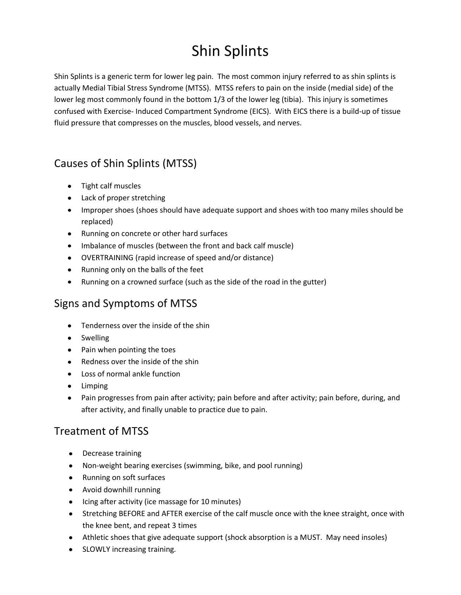# Shin Splints

Shin Splints is a generic term for lower leg pain. The most common injury referred to as shin splints is actually Medial Tibial Stress Syndrome (MTSS). MTSS refers to pain on the inside (medial side) of the lower leg most commonly found in the bottom 1/3 of the lower leg (tibia). This injury is sometimes confused with Exercise- Induced Compartment Syndrome (EICS). With EICS there is a build-up of tissue fluid pressure that compresses on the muscles, blood vessels, and nerves.

## Causes of Shin Splints (MTSS)

- Tight calf muscles
- Lack of proper stretching
- Improper shoes (shoes should have adequate support and shoes with too many miles should be replaced)
- Running on concrete or other hard surfaces
- Imbalance of muscles (between the front and back calf muscle)
- OVERTRAINING (rapid increase of speed and/or distance)
- Running only on the balls of the feet
- Running on a crowned surface (such as the side of the road in the gutter)

#### Signs and Symptoms of MTSS

- Tenderness over the inside of the shin
- Swelling
- Pain when pointing the toes
- Redness over the inside of the shin
- Loss of normal ankle function
- Limping
- Pain progresses from pain after activity; pain before and after activity; pain before, during, and after activity, and finally unable to practice due to pain.

#### Treatment of MTSS

- Decrease training
- Non-weight bearing exercises (swimming, bike, and pool running)
- Running on soft surfaces
- Avoid downhill running
- Icing after activity (ice massage for 10 minutes)
- Stretching BEFORE and AFTER exercise of the calf muscle once with the knee straight, once with the knee bent, and repeat 3 times
- Athletic shoes that give adequate support (shock absorption is a MUST. May need insoles)
- SLOWLY increasing training.